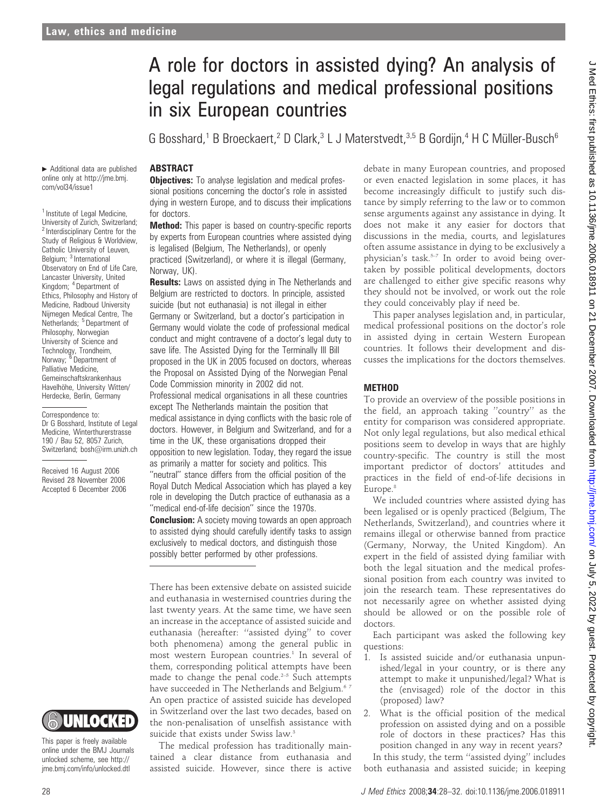# A role for doctors in assisted dying? An analysis of legal regulations and medical professional positions in six European countries

G Bosshard,<sup>1</sup> B Broeckaert,<sup>2</sup> D Clark,<sup>3</sup> L J Materstvedt,<sup>3,5</sup> B Gordiin,<sup>4</sup> H C Müller-Busch<sup>6</sup>

#### $\blacktriangleright$  Additional data are published online only at http://jme.bmj.

<sup>1</sup> Institute of Legal Medicine, University of Zurich, Switzerland; <sup>2</sup> Interdisciplinary Centre for the Study of Religious & Worldview, Catholic University of Leuven, Belgium; <sup>3</sup> International Observatory on End of Life Care, Lancaster University, United Kingdom; <sup>4</sup> Department of Ethics, Philosophy and History of Medicine, Radboud University Nijmegen Medical Centre, The Netherlands; <sup>5</sup> Department of Philosophy, Norwegian University of Science and Technology, Trondheim,<br>Norway; <sup>6</sup> Department of Palliative Medicine, Gemeinschaftskrankenhaus Havelhöhe, University Witten/ Herdecke, Berlin, Germany

com/vol34/issue1

Correspondence to: Dr G Bosshard, Institute of Legal Medicine, Winterthurerstrasse 190 / Bau 52, 8057 Zurich, Switzerland; bosh@irm.unizh.ch

Received 16 August 2006 Revised 28 November 2006 Accepted 6 December 2006



This paper is freely available online under the BMJ Journals unlocked scheme, see http:// jme.bmj.com/info/unlocked.dtl

## ABSTRACT

**Objectives:** To analyse legislation and medical professional positions concerning the doctor's role in assisted dying in western Europe, and to discuss their implications for doctors.

**Method:** This paper is based on country-specific reports by experts from European countries where assisted dying is legalised (Belgium, The Netherlands), or openly practiced (Switzerland), or where it is illegal (Germany, Norway, UK).

**Results:** Laws on assisted dying in The Netherlands and Belgium are restricted to doctors. In principle, assisted suicide (but not euthanasia) is not illegal in either Germany or Switzerland, but a doctor's participation in Germany would violate the code of professional medical conduct and might contravene of a doctor's legal duty to save life. The Assisted Dying for the Terminally Ill Bill proposed in the UK in 2005 focused on doctors, whereas the Proposal on Assisted Dying of the Norwegian Penal Code Commission minority in 2002 did not. Professional medical organisations in all these countries except The Netherlands maintain the position that

medical assistance in dying conflicts with the basic role of doctors. However, in Belgium and Switzerland, and for a time in the UK, these organisations dropped their opposition to new legislation. Today, they regard the issue as primarily a matter for society and politics. This ''neutral'' stance differs from the official position of the Royal Dutch Medical Association which has played a key role in developing the Dutch practice of euthanasia as a ''medical end-of-life decision'' since the 1970s.

**Conclusion:** A society moving towards an open approach to assisted dying should carefully identify tasks to assign exclusively to medical doctors, and distinguish those possibly better performed by other professions.

There has been extensive debate on assisted suicide and euthanasia in westernised countries during the last twenty years. At the same time, we have seen an increase in the acceptance of assisted suicide and euthanasia (hereafter: ''assisted dying'' to cover both phenomena) among the general public in most western European countries.<sup>1</sup> In several of them, corresponding political attempts have been made to change the penal code.<sup>2-5</sup> Such attempts have succeeded in The Netherlands and Belgium.<sup>67</sup> An open practice of assisted suicide has developed in Switzerland over the last two decades, based on the non-penalisation of unselfish assistance with suicide that exists under Swiss law.<sup>3</sup>

The medical profession has traditionally maintained a clear distance from euthanasia and assisted suicide. However, since there is active debate in many European countries, and proposed or even enacted legislation in some places, it has become increasingly difficult to justify such distance by simply referring to the law or to common sense arguments against any assistance in dying. It does not make it any easier for doctors that discussions in the media, courts, and legislatures often assume assistance in dying to be exclusively a physician's task.5–7 In order to avoid being overtaken by possible political developments, doctors are challenged to either give specific reasons why they should not be involved, or work out the role they could conceivably play if need be.

This paper analyses legislation and, in particular, medical professional positions on the doctor's role in assisted dying in certain Western European countries. It follows their development and discusses the implications for the doctors themselves.

### METHOD

To provide an overview of the possible positions in the field, an approach taking ''country'' as the entity for comparison was considered appropriate. Not only legal regulations, but also medical ethical positions seem to develop in ways that are highly country-specific. The country is still the most important predictor of doctors' attitudes and practices in the field of end-of-life decisions in Europe.<sup>8</sup>

We included countries where assisted dying has been legalised or is openly practiced (Belgium, The Netherlands, Switzerland), and countries where it remains illegal or otherwise banned from practice (Germany, Norway, the United Kingdom). An expert in the field of assisted dying familiar with both the legal situation and the medical professional position from each country was invited to join the research team. These representatives do not necessarily agree on whether assisted dying should be allowed or on the possible role of doctors.

Each participant was asked the following key questions:

- 1. Is assisted suicide and/or euthanasia unpunished/legal in your country, or is there any attempt to make it unpunished/legal? What is the (envisaged) role of the doctor in this (proposed) law?
- 2. What is the official position of the medical profession on assisted dying and on a possible role of doctors in these practices? Has this position changed in any way in recent years?

In this study, the term ''assisted dying'' includes both euthanasia and assisted suicide; in keeping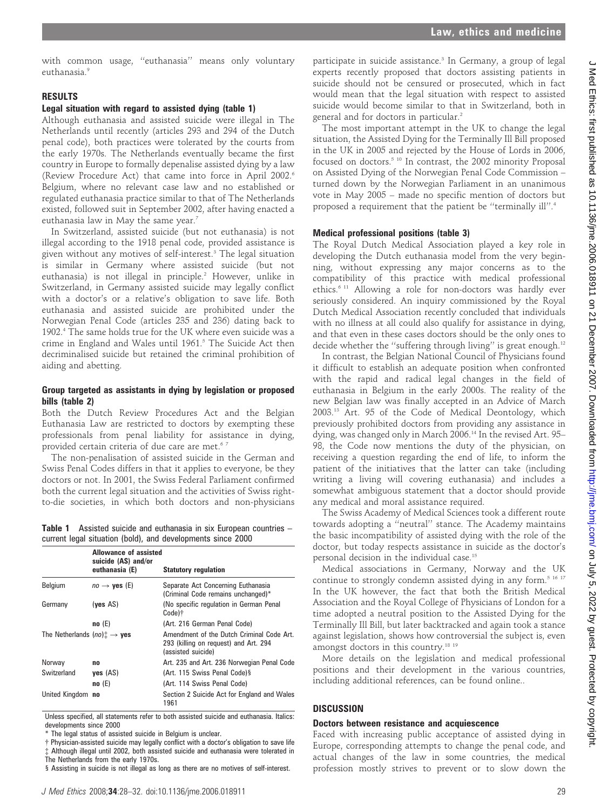with common usage, ''euthanasia'' means only voluntary euthanasia.<sup>9</sup>

# RESULTS

# Legal situation with regard to assisted dying (table 1)

Although euthanasia and assisted suicide were illegal in The Netherlands until recently (articles 293 and 294 of the Dutch penal code), both practices were tolerated by the courts from the early 1970s. The Netherlands eventually became the first country in Europe to formally depenalise assisted dying by a law (Review Procedure Act) that came into force in April 2002.<sup>6</sup> Belgium, where no relevant case law and no established or regulated euthanasia practice similar to that of The Netherlands existed, followed suit in September 2002, after having enacted a euthanasia law in May the same year.<sup>7</sup>

In Switzerland, assisted suicide (but not euthanasia) is not illegal according to the 1918 penal code, provided assistance is given without any motives of self-interest.<sup>3</sup> The legal situation is similar in Germany where assisted suicide (but not euthanasia) is not illegal in principle.<sup>2</sup> However, unlike in Switzerland, in Germany assisted suicide may legally conflict with a doctor's or a relative's obligation to save life. Both euthanasia and assisted suicide are prohibited under the Norwegian Penal Code (articles 235 and 236) dating back to 1902.4 The same holds true for the UK where even suicide was a crime in England and Wales until 1961.<sup>5</sup> The Suicide Act then decriminalised suicide but retained the criminal prohibition of aiding and abetting.

## Group targeted as assistants in dying by legislation or proposed bills (table 2)

Both the Dutch Review Procedures Act and the Belgian Euthanasia Law are restricted to doctors by exempting these professionals from penal liability for assistance in dying, provided certain criteria of due care are met.<sup>67</sup>

The non-penalisation of assisted suicide in the German and Swiss Penal Codes differs in that it applies to everyone, be they doctors or not. In 2001, the Swiss Federal Parliament confirmed both the current legal situation and the activities of Swiss rightto-die societies, in which both doctors and non-physicians

Table 1 Assisted suicide and euthanasia in six European countries – current legal situation (bold), and developments since 2000

|                                            | Allowance of assisted<br>suicide (AS) and/or |                                                                                                          |
|--------------------------------------------|----------------------------------------------|----------------------------------------------------------------------------------------------------------|
|                                            | euthanasia (E)                               | <b>Statutory regulation</b>                                                                              |
| Belgium                                    | $no \rightarrow$ yes (E)                     | Separate Act Concerning Euthanasia<br>(Criminal Code remains unchanged)*                                 |
| Germany                                    | ( <b>ves</b> AS)                             | (No specific regulation in German Penal<br>Code)†                                                        |
|                                            | no(E)                                        | (Art. 216 German Penal Code)                                                                             |
| The Netherlands $(no)$ : $\rightarrow$ yes |                                              | Amendment of the Dutch Criminal Code Art.<br>293 (killing on request) and Art. 294<br>(assisted suicide) |
| Norway                                     | no                                           | Art. 235 and Art. 236 Norwegian Penal Code                                                               |
| Switzerland                                | yes (AS)                                     | (Art. 115 Swiss Penal Code) §                                                                            |
|                                            | no(E)                                        | (Art. 114 Swiss Penal Code)                                                                              |
| United Kingdom no                          |                                              | Section 2 Suicide Act for England and Wales<br>1961                                                      |

Unless specified, all statements refer to both assisted suicide and euthanasia. Italics: developments since 2000

The legal status of assisted suicide in Belgium is unclear.

{ Physician-assisted suicide may legally conflict with a doctor's obligation to save life Although illegal until 2002, both assisted suicide and euthanasia were tolerated in The Netherlands from the early 1970s.

§ Assisting in suicide is not illegal as long as there are no motives of self-interest.

J Med Ethics 2008;34:28–32. doi:10.1136/jme.2006.018911 29

participate in suicide assistance.<sup>3</sup> In Germany, a group of legal experts recently proposed that doctors assisting patients in suicide should not be censured or prosecuted, which in fact would mean that the legal situation with respect to assisted suicide would become similar to that in Switzerland, both in general and for doctors in particular.<sup>2</sup>

The most important attempt in the UK to change the legal situation, the Assisted Dying for the Terminally Ill Bill proposed in the UK in 2005 and rejected by the House of Lords in 2006, focused on doctors.<sup>5 10</sup> In contrast, the 2002 minority Proposal on Assisted Dying of the Norwegian Penal Code Commission – turned down by the Norwegian Parliament in an unanimous vote in May 2005 – made no specific mention of doctors but proposed a requirement that the patient be ''terminally ill''.4

# Medical professional positions (table 3)

The Royal Dutch Medical Association played a key role in developing the Dutch euthanasia model from the very beginning, without expressing any major concerns as to the compatibility of this practice with medical professional ethics.6 11 Allowing a role for non-doctors was hardly ever seriously considered. An inquiry commissioned by the Royal Dutch Medical Association recently concluded that individuals with no illness at all could also qualify for assistance in dying, and that even in these cases doctors should be the only ones to decide whether the "suffering through living" is great enough.<sup>12</sup>

In contrast, the Belgian National Council of Physicians found it difficult to establish an adequate position when confronted with the rapid and radical legal changes in the field of euthanasia in Belgium in the early 2000s. The reality of the new Belgian law was finally accepted in an Advice of March 2003.13 Art. 95 of the Code of Medical Deontology, which previously prohibited doctors from providing any assistance in dying, was changed only in March 2006.14 In the revised Art. 95– 98, the Code now mentions the duty of the physician, on receiving a question regarding the end of life, to inform the patient of the initiatives that the latter can take (including writing a living will covering euthanasia) and includes a somewhat ambiguous statement that a doctor should provide any medical and moral assistance required.

The Swiss Academy of Medical Sciences took a different route towards adopting a ''neutral'' stance. The Academy maintains the basic incompatibility of assisted dying with the role of the doctor, but today respects assistance in suicide as the doctor's personal decision in the individual case.15

Medical associations in Germany, Norway and the UK continue to strongly condemn assisted dying in any form.<sup>5 16 17</sup> In the UK however, the fact that both the British Medical Association and the Royal College of Physicians of London for a time adopted a neutral position to the Assisted Dying for the Terminally Ill Bill, but later backtracked and again took a stance against legislation, shows how controversial the subject is, even amongst doctors in this country.<sup>18 19</sup>

More details on the legislation and medical professional positions and their development in the various countries, including additional references, can be found online..

# **DISCUSSION**

# Doctors between resistance and acquiescence

Faced with increasing public acceptance of assisted dying in Europe, corresponding attempts to change the penal code, and actual changes of the law in some countries, the medical profession mostly strives to prevent or to slow down the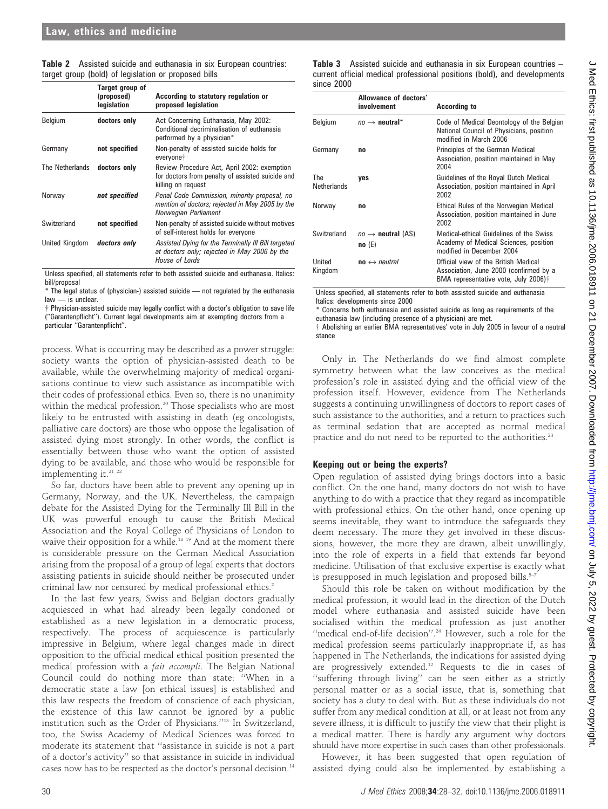|  |                                                      |  |  |  | <b>Table 2</b> Assisted suicide and euthanasia in six European countries: |
|--|------------------------------------------------------|--|--|--|---------------------------------------------------------------------------|
|  | target group (bold) of legislation or proposed bills |  |  |  |                                                                           |

|                 | Target group of<br>(proposed)<br>legislation | According to statutory regulation or<br>proposed legislation                                                            |
|-----------------|----------------------------------------------|-------------------------------------------------------------------------------------------------------------------------|
| Belgium         | doctors only                                 | Act Concerning Euthanasia, May 2002:<br>Conditional decriminalisation of euthanasia<br>performed by a physician*        |
| Germany         | not specified                                | Non-penalty of assisted suicide holds for<br>everyone†                                                                  |
| The Netherlands | doctors only                                 | Review Procedure Act, April 2002: exemption<br>for doctors from penalty of assisted suicide and<br>killing on request   |
| Norway          | not specified                                | Penal Code Commission, minority proposal, no<br>mention of doctors; rejected in May 2005 by the<br>Norwegian Parliament |
| Switzerland     | not specified                                | Non-penalty of assisted suicide without motives<br>of self-interest holds for everyone                                  |
| United Kingdom  | doctors only                                 | Assisted Dying for the Terminally III Bill targeted<br>at doctors only; rejected in May 2006 by the<br>House of Lords   |

Unless specified, all statements refer to both assisted suicide and euthanasia. Italics: bill/proposal

\* The legal status of (physician-) assisted suicide — not regulated by the euthanasia law — is unclear.

{ Physician-assisted suicide may legally conflict with a doctor's obligation to save life (''Garantenpflicht''). Current legal developments aim at exempting doctors from a particular ''Garantenpflicht''.

process. What is occurring may be described as a power struggle: society wants the option of physician-assisted death to be available, while the overwhelming majority of medical organisations continue to view such assistance as incompatible with their codes of professional ethics. Even so, there is no unanimity within the medical profession.<sup>20</sup> Those specialists who are most likely to be entrusted with assisting in death (eg oncologists, palliative care doctors) are those who oppose the legalisation of assisted dying most strongly. In other words, the conflict is essentially between those who want the option of assisted dying to be available, and those who would be responsible for implementing it. $^{21}$   $^{22}$ 

So far, doctors have been able to prevent any opening up in Germany, Norway, and the UK. Nevertheless, the campaign debate for the Assisted Dying for the Terminally Ill Bill in the UK was powerful enough to cause the British Medical Association and the Royal College of Physicians of London to waive their opposition for a while.<sup>18 19</sup> And at the moment there is considerable pressure on the German Medical Association arising from the proposal of a group of legal experts that doctors assisting patients in suicide should neither be prosecuted under criminal law nor censured by medical professional ethics.2

In the last few years, Swiss and Belgian doctors gradually acquiesced in what had already been legally condoned or established as a new legislation in a democratic process, respectively. The process of acquiescence is particularly impressive in Belgium, where legal changes made in direct opposition to the official medical ethical position presented the medical profession with a fait accompli. The Belgian National Council could do nothing more than state: ''When in a democratic state a law [on ethical issues] is established and this law respects the freedom of conscience of each physician, the existence of this law cannot be ignored by a public institution such as the Order of Physicians.''13 In Switzerland, too, the Swiss Academy of Medical Sciences was forced to moderate its statement that ''assistance in suicide is not a part of a doctor's activity'' so that assistance in suicide in individual cases now has to be respected as the doctor's personal decision.14

Table 3 Assisted suicide and euthanasia in six European countries current official medical professional positions (bold), and developments since 2000

|                                  | Allowance of doctors'<br>involvement   | <b>According to</b>                                                                                                    |
|----------------------------------|----------------------------------------|------------------------------------------------------------------------------------------------------------------------|
| Belgium                          | $no \rightarrow neutral^*$             | Code of Medical Deontology of the Belgian<br>National Council of Physicians, position<br>modified in March 2006        |
| Germany                          | no                                     | Principles of the German Medical<br>Association, position maintained in May<br>2004                                    |
| <b>The</b><br><b>Netherlands</b> | ves                                    | Guidelines of the Royal Dutch Medical<br>Association, position maintained in April<br>2002                             |
| Norway                           | no                                     | Ethical Rules of the Norwegian Medical<br>Association, position maintained in June<br>2002                             |
| Switzerland                      | $no \rightarrow$ neutral (AS)<br>no(E) | Medical-ethical Guidelines of the Swiss<br>Academy of Medical Sciences, position<br>modified in December 2004          |
| United<br>Kingdom                | $no \leftrightarrow neutral$           | Official view of the British Medical<br>Association, June 2000 (confirmed by a<br>BMA representative vote, July 2006)† |

Unless specified, all statements refer to both assisted suicide and euthanasia Italics: developments since 2000

\* Concerns both euthanasia and assisted suicide as long as requirements of the

euthanasia law (including presence of a physician) are met.

{ Abolishing an earlier BMA representatives' vote in July 2005 in favour of a neutral stance

Only in The Netherlands do we find almost complete symmetry between what the law conceives as the medical profession's role in assisted dying and the official view of the profession itself. However, evidence from The Netherlands suggests a continuing unwillingness of doctors to report cases of such assistance to the authorities, and a return to practices such as terminal sedation that are accepted as normal medical practice and do not need to be reported to the authorities.<sup>23</sup>

### Keeping out or being the experts?

Open regulation of assisted dying brings doctors into a basic conflict. On the one hand, many doctors do not wish to have anything to do with a practice that they regard as incompatible with professional ethics. On the other hand, once opening up seems inevitable, they want to introduce the safeguards they deem necessary. The more they get involved in these discussions, however, the more they are drawn, albeit unwillingly, into the role of experts in a field that extends far beyond medicine. Utilisation of that exclusive expertise is exactly what is presupposed in much legislation and proposed bills.<sup>5–7</sup>

Should this role be taken on without modification by the medical profession, it would lead in the direction of the Dutch model where euthanasia and assisted suicide have been socialised within the medical profession as just another "medical end-of-life decision".<sup>24</sup> However, such a role for the medical profession seems particularly inappropriate if, as has happened in The Netherlands, the indications for assisted dying are progressively extended.12 Requests to die in cases of ''suffering through living'' can be seen either as a strictly personal matter or as a social issue, that is, something that society has a duty to deal with. But as these individuals do not suffer from any medical condition at all, or at least not from any severe illness, it is difficult to justify the view that their plight is a medical matter. There is hardly any argument why doctors should have more expertise in such cases than other professionals.

However, it has been suggested that open regulation of assisted dying could also be implemented by establishing a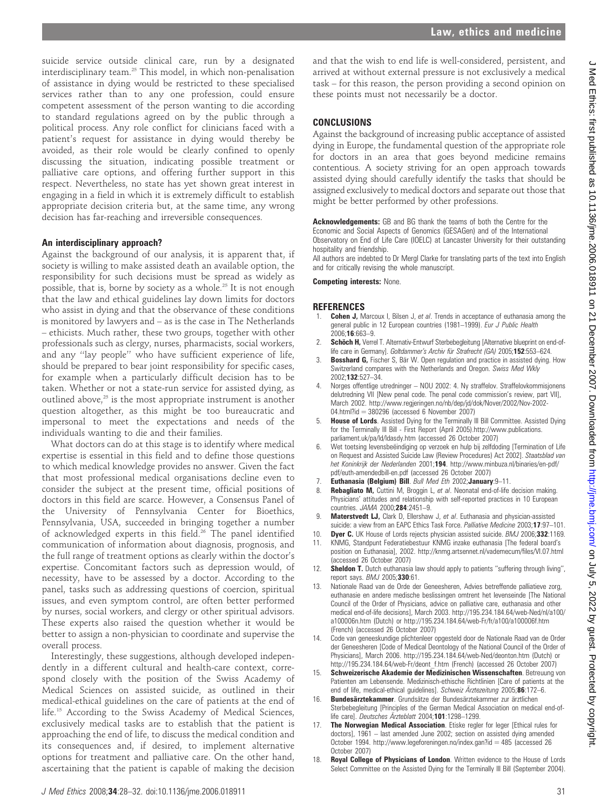J Med Ethics: first published as 10.1136/jme.2006.018911 on 21 December 2007. Downloaded from http://jme.bmj.com/ on July 5, 2022 by guest. Protected by copyright J Med Ethics: first published as 10.1136/jme.2006.018911 on 21 December 2007. Downloaded from Intp://jme.bmj.com/ on July 5, 2022 by guest. Protected by copyright.

suicide service outside clinical care, run by a designated interdisciplinary team.25 This model, in which non-penalisation of assistance in dying would be restricted to these specialised services rather than to any one profession, could ensure competent assessment of the person wanting to die according to standard regulations agreed on by the public through a political process. Any role conflict for clinicians faced with a patient's request for assistance in dying would thereby be avoided, as their role would be clearly confined to openly discussing the situation, indicating possible treatment or palliative care options, and offering further support in this respect. Nevertheless, no state has yet shown great interest in engaging in a field in which it is extremely difficult to establish appropriate decision criteria but, at the same time, any wrong decision has far-reaching and irreversible consequences.

### An interdisciplinary approach?

Against the background of our analysis, it is apparent that, if society is willing to make assisted death an available option, the responsibility for such decisions must be spread as widely as possible, that is, borne by society as a whole.<sup>25</sup> It is not enough that the law and ethical guidelines lay down limits for doctors who assist in dying and that the observance of these conditions is monitored by lawyers and – as is the case in The Netherlands – ethicists. Much rather, these two groups, together with other professionals such as clergy, nurses, pharmacists, social workers, and any ''lay people'' who have sufficient experience of life, should be prepared to bear joint responsibility for specific cases, for example when a particularly difficult decision has to be taken. Whether or not a state-run service for assisted dying, as outlined above, $25$  is the most appropriate instrument is another question altogether, as this might be too bureaucratic and impersonal to meet the expectations and needs of the individuals wanting to die and their families.

What doctors can do at this stage is to identify where medical expertise is essential in this field and to define those questions to which medical knowledge provides no answer. Given the fact that most professional medical organisations decline even to consider the subject at the present time, official positions of doctors in this field are scarce. However, a Consensus Panel of the University of Pennsylvania Center for Bioethics, Pennsylvania, USA, succeeded in bringing together a number of acknowledged experts in this field.<sup>26</sup> The panel identified communication of information about diagnosis, prognosis, and the full range of treatment options as clearly within the doctor's expertise. Concomitant factors such as depression would, of necessity, have to be assessed by a doctor. According to the panel, tasks such as addressing questions of coercion, spiritual issues, and even symptom control, are often better performed by nurses, social workers, and clergy or other spiritual advisors. These experts also raised the question whether it would be better to assign a non-physician to coordinate and supervise the overall process.

Interestingly, these suggestions, although developed independently in a different cultural and health-care context, correspond closely with the position of the Swiss Academy of Medical Sciences on assisted suicide, as outlined in their medical-ethical guidelines on the care of patients at the end of life.15 According to the Swiss Academy of Medical Sciences, exclusively medical tasks are to establish that the patient is approaching the end of life, to discuss the medical condition and its consequences and, if desired, to implement alternative options for treatment and palliative care. On the other hand, ascertaining that the patient is capable of making the decision

and that the wish to end life is well-considered, persistent, and arrived at without external pressure is not exclusively a medical task – for this reason, the person providing a second opinion on these points must not necessarily be a doctor.

### **CONCLUSIONS**

Against the background of increasing public acceptance of assisted dying in Europe, the fundamental question of the appropriate role for doctors in an area that goes beyond medicine remains contentious. A society striving for an open approach towards assisted dying should carefully identify the tasks that should be assigned exclusively to medical doctors and separate out those that might be better performed by other professions.

Acknowledgements: GB and BG thank the teams of both the Centre for the Economic and Social Aspects of Genomics (GESAGen) and of the International Observatory on End of Life Care (IOELC) at Lancaster University for their outstanding hospitality and friendship.

All authors are indebted to Dr Mergl Clarke for translating parts of the text into English and for critically revising the whole manuscript.

Competing interests: None.

#### **REFERENCES**

- 1. **Cohen J,** Marcoux I, Bilsen J, et al. Trends in acceptance of euthanasia among the general public in 12 European countries (1981-1999). Eur J Public Health 2006;16:663–9.
- Schöch H, Verrel T. Alternativ-Entwurf Sterbebegleitung [Alternative blueprint on end-oflife care in Germany]. Goltdammer's Archiv für Strafrecht (GA) 2005;152:553-624.
- **Bosshard G,** Fischer S, Bär W. Open regulation and practice in assisted dying. How Switzerland compares with the Netherlands and Oregon. Swiss Med Wkly 2002;132:527–34.
- 4. Norges offentlige utredninger NOU 2002: 4. Ny straffelov. Straffelovkommisjonens delutredning VII [New penal code. The penal code commission's review, part VII], March 2002. http://www.regjeringen.no/nb/dep/jd/dok/Nover/2002/Nov-2002- 04.html?id = 380296 (accessed 6 November 2007)
- 5. **House of Lords**. Assisted Dying for the Terminally III Bill Committee. Assisted Dying for the Terminally Ill Bill - First Report (April 2005).http://www.publications. parliament.uk/pa/ld/ldasdy.htm (accessed 26 October 2007)
- 6. Wet toetsing levensbeëindiging op verzoek en hulp bij zelfdoding [Termination of Life on Request and Assisted Suicide Law (Review Procedures) Act 2002]. Staatsblad van het Koninkrijk der Nederlanden 2001;194. http://www.minbuza.nl/binaries/en-pdf/ pdf/euth-amendedbill-en.pdf (accessed 26 October 2007)
- 7. Euthanasia (Belgium) Bill. Bull Med Eth 2002;January:9–11.
- **Rebagliato M,** Cuttini M, Broggin L, et al. Neonatal end-of-life decision making. Physicians' attitudes and relationship with self-reported practices in 10 European countries. JAMA 2000;284:2451–9.
- 9. Materstvedt LJ, Clark D, Ellershaw J, et al. Euthanasia and physician-assisted suicide: a view from an EAPC Ethics Task Force. Palliative Medicine 2003;17:97-101.
- 10. **Dyer C.** UK House of Lords rejects physician assisted suicide. BMJ 2006;332:1169. 11. KNMG, Standpunt Federatiebestuur KNMG inzake euthanasia [The federal board's position on Euthanasia], 2002. http://knmg.artsennet.nl/vademecum/files/VI.07.html
- (accessed 26 October 2007) 12. Sheldon T. Dutch euthanasia law should apply to patients "suffering through living", report says. **BMJ** 2005; **330**:61.
- 13. Nationale Raad van de Orde der Geneesheren, Advies betreffende palliatieve zorg, euthanasie en andere medische beslissingen omtrent het levenseinde [The National Council of the Order of Physicians, advice on palliative care, euthanasia and other medical end-of-life decisions], March 2003. http://195.234.184.64/web-Ned/nl/a100/ a100006n.htm (Dutch) or http://195.234.184.64/web-Fr/fr/a100/a100006f.htm (French) (accessed 26 October 2007)
- 14. Code van geneeskundige plichtenleer opgesteld door de Nationale Raad van de Order der Geneesheren [Code of Medical Deontology of the National Council of the Order of Physicians], March 2006. http://195.234.184.64/web-Ned/deonton.htm (Dutch) or http://195.234.184.64/web-Fr/deont\_f.htm (French) (accessed 26 October 2007)
- 15. Schweizerische Akademie der Medizinischen Wissenschaften. Betreuung von Patienten am Lebensende. Medizinisch-ethische Richtlinien [Care of patients at the end of life, medical-ethical guidelines]. Schweiz Ärztezeitung 2005;86:172–6.
- 16. Bundesärztekammer. Grundsätze der Bundesärztekammer zur ärztlichen Sterbebegleitung [Principles of the German Medical Association on medical end-oflife care]. Deutsches Ärzteblatt 2004;101:1298-1299.
- 17. The Norwegian Medical Association. Etiske regler for leger [Ethical rules for doctors], 1961 – last amended June 2002; section on assisted dying amended October 1994. http://www.legeforeningen.no/index.gan?id = 485 (accessed 26 October 2007)
- 18. Royal College of Physicians of London. Written evidence to the House of Lords Select Committee on the Assisted Dying for the Terminally Ill Bill (September 2004).